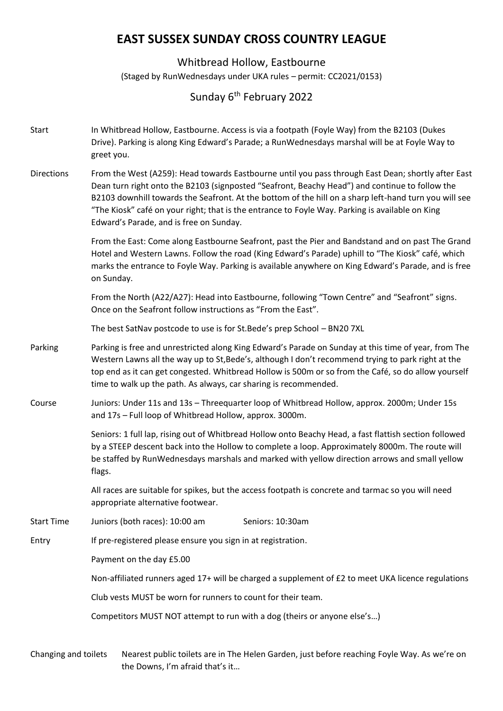## **EAST SUSSEX SUNDAY CROSS COUNTRY LEAGUE**

## Whitbread Hollow, Eastbourne

(Staged by RunWednesdays under UKA rules – permit: CC2021/0153)

## Sunday 6<sup>th</sup> February 2022

- Start In Whitbread Hollow, Eastbourne. Access is via a footpath (Foyle Way) from the B2103 (Dukes Drive). Parking is along King Edward's Parade; a RunWednesdays marshal will be at Foyle Way to greet you.
- Directions From the West (A259): Head towards Eastbourne until you pass through East Dean; shortly after East Dean turn right onto the B2103 (signposted "Seafront, Beachy Head") and continue to follow the B2103 downhill towards the Seafront. At the bottom of the hill on a sharp left-hand turn you will see "The Kiosk" café on your right; that is the entrance to Foyle Way. Parking is available on King Edward's Parade, and is free on Sunday.

From the East: Come along Eastbourne Seafront, past the Pier and Bandstand and on past The Grand Hotel and Western Lawns. Follow the road (King Edward's Parade) uphill to "The Kiosk" café, which marks the entrance to Foyle Way. Parking is available anywhere on King Edward's Parade, and is free on Sunday.

From the North (A22/A27): Head into Eastbourne, following "Town Centre" and "Seafront" signs. Once on the Seafront follow instructions as "From the East".

The best SatNav postcode to use is for St.Bede's prep School – BN20 7XL

Parking Parking is free and unrestricted along King Edward's Parade on Sunday at this time of year, from The Western Lawns all the way up to St,Bede's, although I don't recommend trying to park right at the top end as it can get congested. Whitbread Hollow is 500m or so from the Café, so do allow yourself time to walk up the path. As always, car sharing is recommended.

Course Juniors: Under 11s and 13s – Threequarter loop of Whitbread Hollow, approx. 2000m; Under 15s and 17s – Full loop of Whitbread Hollow, approx. 3000m.

> Seniors: 1 full lap, rising out of Whitbread Hollow onto Beachy Head, a fast flattish section followed by a STEEP descent back into the Hollow to complete a loop. Approximately 8000m. The route will be staffed by RunWednesdays marshals and marked with yellow direction arrows and small yellow flags.

All races are suitable for spikes, but the access footpath is concrete and tarmac so you will need appropriate alternative footwear.

Start Time Juniors (both races): 10:00 am Seniors: 10:30am

Entry If pre-registered please ensure you sign in at registration.

Payment on the day £5.00

Non-affiliated runners aged 17+ will be charged a supplement of £2 to meet UKA licence regulations

Club vests MUST be worn for runners to count for their team.

Competitors MUST NOT attempt to run with a dog (theirs or anyone else's…)

Changing and toilets Nearest public toilets are in The Helen Garden, just before reaching Foyle Way. As we're on the Downs, I'm afraid that's it…